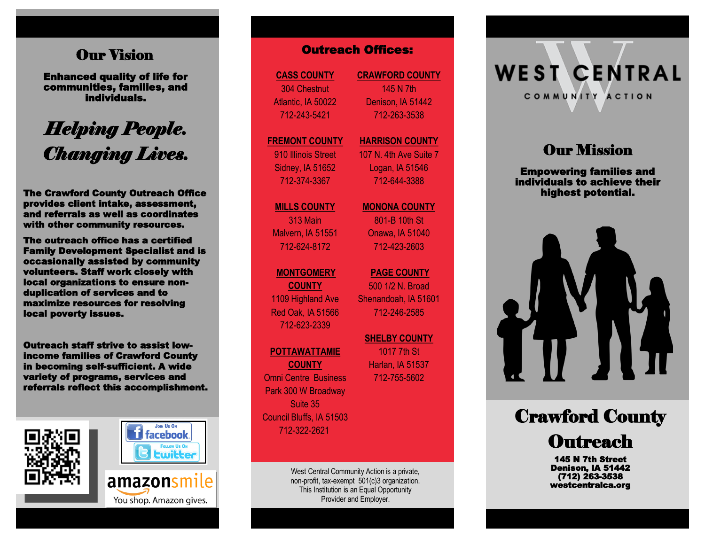## **Our Vision**

Enhanced quality of life for communities, families, and individuals.

# *Helping People. Changing Lives.*

The Crawford County Outreach Office provides client intake, assessment, and referrals as well as coordinates with other community resources.

The outreach office has a certified Family Development Specialist and is occasionally assisted by community volunteers. Staff work closely with local organizations to ensure nonduplication of services and to maximize resources for resolving local poverty issues.

Outreach staff strive to assist lowincome families of Crawford County in becoming self-sufficient. A wide variety of programs, services and referrals reflect this accomplishment.







**CASS COUNTY** 304 Chestnut Atlantic, IA 50022 712 -243 -5421

#### **FREMONT COUNTY** 910 Illinois Street

Sidney, IA 51652 712 -374 -3367

**MILLS COUNTY** 313 Main Malvern, IA 51551 712 -624 -8172

#### **MONTGOMERY**

**COUNTY** 1109 Highland Ave Red Oak, IA 51566 712 -623 -2339

#### **POTTAWATTAMIE**

**COUNTY** Omni Centre Business Park 300 W Broadway Suite 35 Council Bluffs, IA 51503 712 -322 -2621

> West Central Community Action is a private, non -profit, tax -exempt 501(c)3 organization. This Institution is an Equal Opportunity Provider and Employer.

**CRAWFORD COUNTY** 145 N 7th Denison, IA 51442 712 -263 -3538

#### **HARRISON COUNTY** 107 N. 4th Ave Suite 7

Logan, IA 51546 712 -644 -3388

**MONONA COUNTY**

801 -B 10th St Onawa, IA 51040 712 -423 -2603

**PAGE COUNTY**  500 1/2 N. Broad Shenandoah, IA 51601 712 -246 -2585 **COUNTY CRAWFORD COUNTY**<br>
Chestnut 145 N 7th<br>
145 N 7th<br>
145 N 7th<br>
145 N 7th<br>
145 N 7th<br>
145 N 7th<br>
145 N 7th<br>
145 N 7th<br>
145 N 7th<br>
172-263-3538<br>
NT COUNTY MARRISON COUI<br>
107 N. 4th Ave Su<br>
107 N. 4th Ave Su<br>
107 N. 4th

**SHELBY COUNTY**  1017 7th St Harlan, IA 51537 712 -755

**WEST CENTRAL** COMMUNITY ACTION

# **Our Mission**

Empowering families and individuals to achieve their highest potential.



# Crawford County **Outreach**

145 N 7th Street Denison, IA 51442 (712) 263 -3538 westcentralca.org

You shop. Amazon gives.